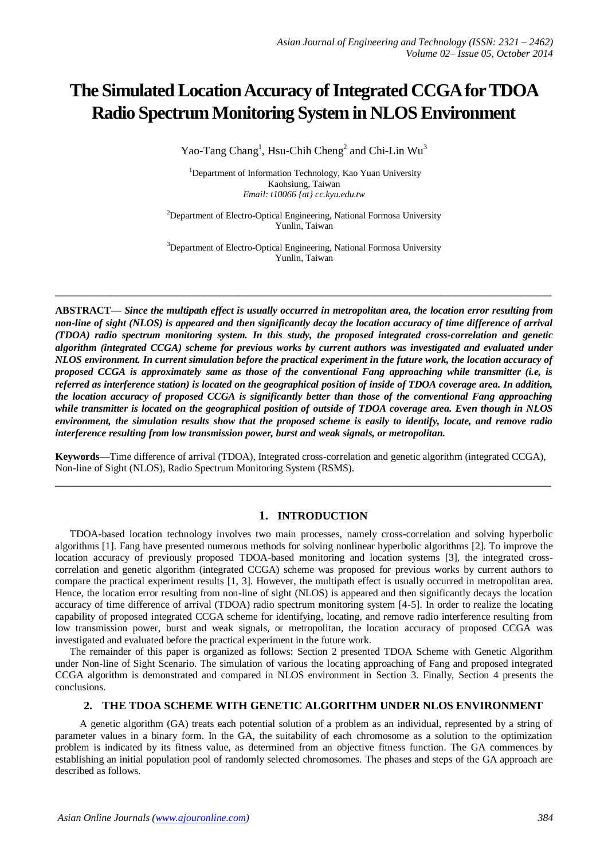# **The Simulated Location Accuracy of Integrated CCGA for TDOA Radio Spectrum Monitoring System in NLOS Environment**

Yao-Tang Chang<sup>1</sup>, Hsu-Chih Cheng<sup>2</sup> and Chi-Lin Wu<sup>3</sup>

<sup>1</sup>Department of Information Technology, Kao Yuan University Kaohsiung, Taiwan *Email: t10066 {at} cc.kyu.edu.tw*

<sup>2</sup>Department of Electro-Optical Engineering, National Formosa University Yunlin, Taiwan

<sup>3</sup>Department of Electro-Optical Engineering, National Formosa University Yunlin, Taiwan

**\_\_\_\_\_\_\_\_\_\_\_\_\_\_\_\_\_\_\_\_\_\_\_\_\_\_\_\_\_\_\_\_\_\_\_\_\_\_\_\_\_\_\_\_\_\_\_\_\_\_\_\_\_\_\_\_\_\_\_\_\_\_\_\_\_\_\_\_\_\_\_\_\_\_\_\_\_\_\_\_\_**

**ABSTRACT—** *Since the multipath effect is usually occurred in metropolitan area, the location error resulting from non-line of sight (NLOS) is appeared and then significantly decay the location accuracy of time difference of arrival (TDOA) radio spectrum monitoring system. In this study, the proposed integrated cross-correlation and genetic algorithm (integrated CCGA) scheme for previous works by current authors was investigated and evaluated under NLOS environment. In current simulation before the practical experiment in the future work, the location accuracy of proposed CCGA is approximately same as those of the conventional Fang approaching while transmitter (i.e, is referred as interference station) is located on the geographical position of inside of TDOA coverage area. In addition, the location accuracy of proposed CCGA is significantly better than those of the conventional Fang approaching while transmitter is located on the geographical position of outside of TDOA coverage area. Even though in NLOS environment, the simulation results show that the proposed scheme is easily to identify, locate, and remove radio interference resulting from low transmission power, burst and weak signals, or metropolitan.*

**Keywords—**Time difference of arrival (TDOA), Integrated cross-correlation and genetic algorithm (integrated CCGA), Non-line of Sight (NLOS), Radio Spectrum Monitoring System (RSMS). **\_\_\_\_\_\_\_\_\_\_\_\_\_\_\_\_\_\_\_\_\_\_\_\_\_\_\_\_\_\_\_\_\_\_\_\_\_\_\_\_\_\_\_\_\_\_\_\_\_\_\_\_\_\_\_\_\_\_\_\_\_\_\_\_\_\_\_\_\_\_\_\_\_\_\_\_\_\_\_\_\_**

# **1. INTRODUCTION**

TDOA-based location technology involves two main processes, namely cross-correlation and solving hyperbolic algorithms [1]. Fang have presented numerous methods for solving nonlinear hyperbolic algorithms [2]. To improve the location accuracy of previously proposed TDOA-based monitoring and location systems [3], the integrated crosscorrelation and genetic algorithm (integrated CCGA) scheme was proposed for previous works by current authors to compare the practical experiment results [1, 3]. However, the multipath effect is usually occurred in metropolitan area. Hence, the location error resulting from non-line of sight (NLOS) is appeared and then significantly decays the location accuracy of time difference of arrival (TDOA) radio spectrum monitoring system [4-5]. In order to realize the locating capability of proposed integrated CCGA scheme for identifying, locating, and remove radio interference resulting from low transmission power, burst and weak signals, or metropolitan, the location accuracy of proposed CCGA was investigated and evaluated before the practical experiment in the future work.

The remainder of this paper is organized as follows: Section 2 presented TDOA Scheme with Genetic Algorithm under Non-line of Sight Scenario. The simulation of various the locating approaching of Fang and proposed integrated CCGA algorithm is demonstrated and compared in NLOS environment in Section 3. Finally, Section 4 presents the conclusions.

# **2. THE TDOA SCHEME WITH GENETIC ALGORITHM UNDER NLOS ENVIRONMENT**

A genetic algorithm (GA) treats each potential solution of a problem as an individual, represented by a string of parameter values in a binary form. In the GA, the suitability of each chromosome as a solution to the optimization problem is indicated by its fitness value, as determined from an objective fitness function. The GA commences by establishing an initial population pool of randomly selected chromosomes. The phases and steps of the GA approach are described as follows.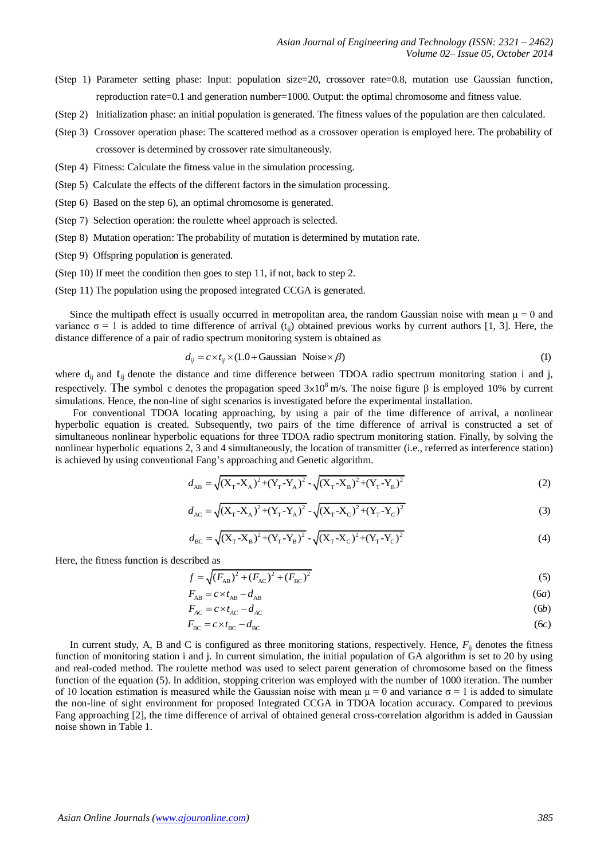- (Step 1) Parameter setting phase: Input: population size=20, crossover rate=0.8, mutation use Gaussian function, reproduction rate=0.1 and generation number=1000. Output: the optimal chromosome and fitness value.
- (Step 2) Initialization phase: an initial population is generated. The fitness values of the population are then calculated.
- (Step 3) Crossover operation phase: The scattered method as a crossover operation is employed here. The probability of crossover is determined by crossover rate simultaneously.
- (Step 4) Fitness: Calculate the fitness value in the simulation processing.
- (Step 5) Calculate the effects of the different factors in the simulation processing.
- (Step 6) Based on the step 6), an optimal chromosome is generated.
- (Step 7) Selection operation: the roulette wheel approach is selected.
- (Step 8) Mutation operation: The probability of mutation is determined by mutation rate.
- (Step 9) Offspring population is generated.
- (Step 10) If meet the condition then goes to step 11, if not, back to step 2.
- (Step 11) The population using the proposed integrated CCGA is generated.

Since the multipath effect is usually occurred in metropolitan area, the random Gaussian noise with mean  $\mu = 0$  and variance  $\sigma = 1$  is added to time difference of arrival (t<sub>ij</sub>) obtained previous works by current authors [1, 3]. Here, the distance difference of a pair of radio spectrum monitoring system is obtained as  $d_{ij} = c \times t_{ij} \times$ distance difference of a pair of radio spectrum monitoring system is obtained as

$$
d_{ii} = c \times t_{ii} \times (1.0 + \text{Gaussian Noise} \times \beta) \tag{1}
$$

where  $d_{ii}$  and  $t_{jj}$  denote the distance and time difference between TDOA radio spectrum monitoring station i and j, respectively. The symbol c denotes the propagation speed  $3\times10^8$  m/s. The noise figure β is employed 10% by current simulations. Hence, the non-line of sight scenarios is investigated before the experimental installation.

For conventional TDOA locating approaching, by using a pair of the time difference of arrival, a nonlinear hyperbolic equation is created. Subsequently, two pairs of the time difference of arrival is constructed a set of simultaneous nonlinear hyperbolic equations for three TDOA radio spectrum monitoring station. Finally, by solving the nonlinear hyperbolic equations 2, 3 and 4 simultaneously, the location of transmitter (i.e., referred as interference station)<br>
is achieved by using conventional Fang's approaching and Genetic algorithm.<br>  $d_{AB} = \sqrt{(X_T - X_A)^2$ is achieved by using conventional Fang's approaching and Genetic algorithm.<br>  $d_{\lambda \mathbf{R}} = \sqrt{(X_{\mathbf{T}} \cdot X_{\lambda})^2 + (Y_{\mathbf{T}} \cdot Y_{\lambda})^2} - \sqrt{(X_{\mathbf{T}} \cdot X_{\mathbf{R}})^2 + (Y_{\mathbf{T}} \cdot Y_{\mathbf{R}})^2}$ 

$$
d_{AB} = \sqrt{(X_{T} - X_{A})^{2} + (Y_{T} - Y_{A})^{2}} - \sqrt{(X_{T} - X_{B})^{2} + (Y_{T} - Y_{B})^{2}}
$$
\n
$$
d_{AC} = \sqrt{(X_{T} - X_{A})^{2} + (Y_{T} - Y_{A})^{2}} - \sqrt{(X_{T} - X_{C})^{2} + (Y_{T} - Y_{C})^{2}}
$$
\n(3)

$$
d_{AC} = \sqrt{(X_T - X_A)^2 + (Y_T - Y_A)^2} - \sqrt{(X_T - X_C)^2 + (Y_T - Y_C)^2}
$$
(3)  

$$
d_{BC} = \sqrt{(X_T - X_B)^2 + (Y_T - Y_B)^2} - \sqrt{(X_T - X_C)^2 + (Y_T - Y_C)^2}
$$
(4)

$$
d_{BC} = \sqrt{(X_T - X_B)^2 + (Y_T - Y_B)^2} - \sqrt{(X_T - X_C)^2 + (Y_T - Y_C)^2}
$$
\n(4)

Here, the fitness function is described as

$$
d_{BC} = \sqrt{(X_T - X_B)^2 + (Y_T - Y_B)^2} - \sqrt{(X_T - X_C)^2 + (Y_T - Y_C)^2}
$$
  
\n
$$
f = \sqrt{(F_{AB})^2 + (F_{AC})^2 + (F_{BC})^2}
$$
  
\n
$$
F_{AB} = c \times t_{AB} - d_{AB}
$$
  
\n
$$
F_{AC} = c \times t_{AC} - d_{AC}
$$
  
\n
$$
F_{BC} = c \times t_{BC} - d_{BC}
$$
  
\n(6*c*)

$$
F_{AB} = c \times t_{AB} - d_{AB} \tag{6a}
$$

$$
F_{AC} = c \times t_{AC} - d_{AC} \tag{6b}
$$

$$
F_{\rm BC} = c \times t_{\rm BC} - d_{\rm BC} \tag{6c}
$$

In current study, A, B and C is configured as three monitoring stations, respectively. Hence,  $F<sub>ii</sub>$  denotes the fitness function of monitoring station i and j. In current simulation, the initial population of GA algorithm is set to 20 by using and real-coded method. The roulette method was used to select parent generation of chromosome based on the fitness function of the equation (5). In addition, stopping criterion was employed with the number of 1000 iteration. The number of 10 location estimation is measured while the Gaussian noise with mean  $\mu = 0$  and variance  $\sigma = 1$  is added to simulate the non-line of sight environment for proposed Integrated CCGA in TDOA location accuracy. Compared to previous Fang approaching [2], the time difference of arrival of obtained general cross-correlation algorithm is added in Gaussian noise shown in Table 1.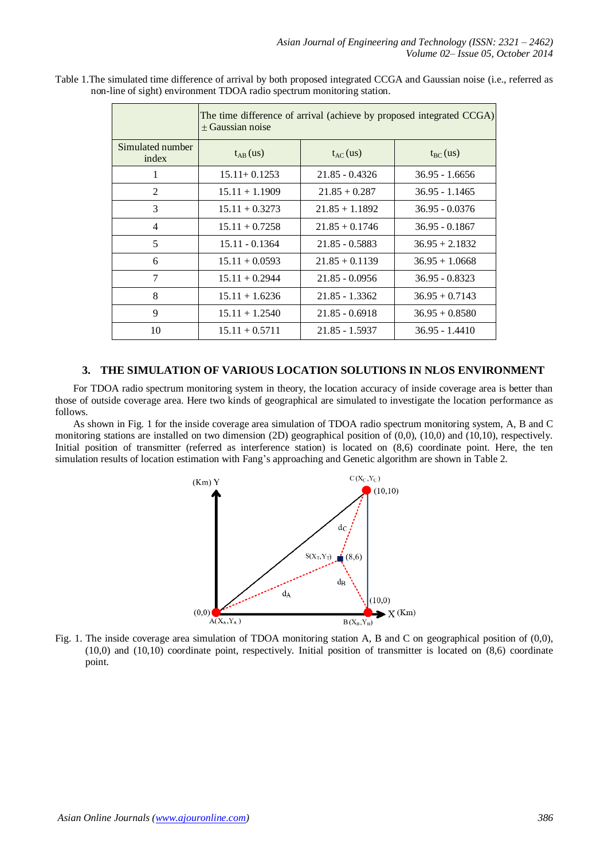|                           | The time difference of arrival (achieve by proposed integrated CCGA)<br>+ Gaussian noise |                  |                  |  |  |
|---------------------------|------------------------------------------------------------------------------------------|------------------|------------------|--|--|
| Simulated number<br>index | $t_{AB}$ (us)                                                                            | $t_{AC}$ (us)    | $t_{BC}$ (us)    |  |  |
| 1                         | $15.11 + 0.1253$                                                                         | $21.85 - 0.4326$ | $36.95 - 1.6656$ |  |  |
| 2                         | $15.11 + 1.1909$                                                                         | $21.85 + 0.287$  | $36.95 - 1.1465$ |  |  |
| 3                         | $15.11 + 0.3273$                                                                         | $21.85 + 1.1892$ | $36.95 - 0.0376$ |  |  |
| 4                         | $15.11 + 0.7258$                                                                         | $21.85 + 0.1746$ | $36.95 - 0.1867$ |  |  |
| 5                         | $15.11 - 0.1364$                                                                         | $21.85 - 0.5883$ | $36.95 + 2.1832$ |  |  |
| 6                         | $15.11 + 0.0593$                                                                         | $21.85 + 0.1139$ | $36.95 + 1.0668$ |  |  |
| 7                         | $15.11 + 0.2944$                                                                         | $21.85 - 0.0956$ | $36.95 - 0.8323$ |  |  |
| 8                         | $15.11 + 1.6236$                                                                         | $21.85 - 1.3362$ | $36.95 + 0.7143$ |  |  |
| 9                         | $15.11 + 1.2540$                                                                         | $21.85 - 0.6918$ | $36.95 + 0.8580$ |  |  |
| 10                        | $15.11 + 0.5711$                                                                         | 21.85 - 1.5937   | $36.95 - 1.4410$ |  |  |

Table 1.The simulated time difference of arrival by both proposed integrated CCGA and Gaussian noise (i.e., referred as non-line of sight) environment TDOA radio spectrum monitoring station.

#### **3. THE SIMULATION OF VARIOUS LOCATION SOLUTIONS IN NLOS ENVIRONMENT**

For TDOA radio spectrum monitoring system in theory, the location accuracy of inside coverage area is better than those of outside coverage area. Here two kinds of geographical are simulated to investigate the location performance as follows.

As shown in Fig. 1 for the inside coverage area simulation of TDOA radio spectrum monitoring system, A, B and C monitoring stations are installed on two dimension (2D) geographical position of (0,0), (10,0) and (10,10), respectively. Initial position of transmitter (referred as interference station) is located on (8,6) coordinate point. Here, the ten simulation results of location estimation with Fang's approaching and Genetic algorithm are shown in Table 2.



Fig. 1. The inside coverage area simulation of TDOA monitoring station A, B and C on geographical position of (0,0), (10,0) and (10,10) coordinate point, respectively. Initial position of transmitter is located on (8,6) coordinate point.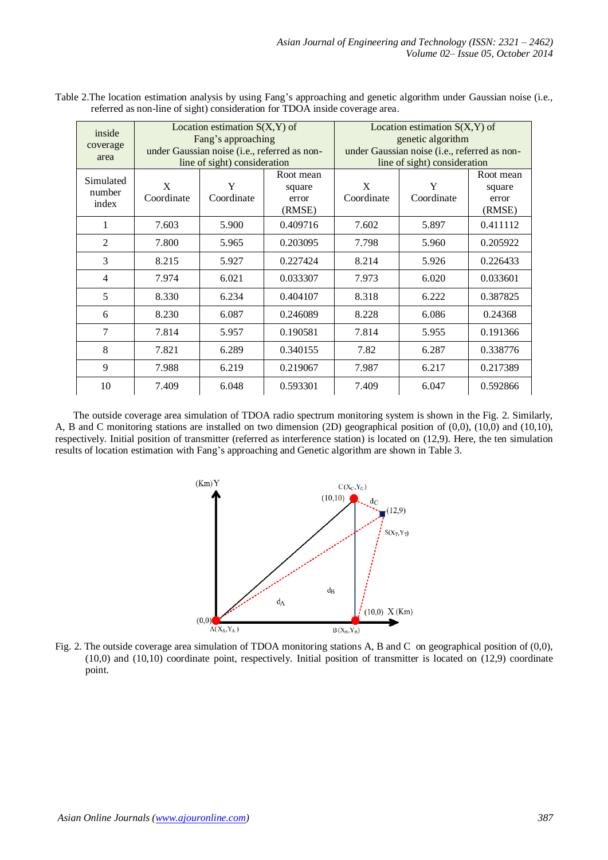| inside<br>coverage<br>area   | Location estimation $S(X, Y)$ of<br>Fang's approaching<br>under Gaussian noise (i.e., referred as non-<br>line of sight) consideration |                 | Location estimation $S(X, Y)$ of<br>genetic algorithm<br>under Gaussian noise (i.e., referred as non-<br>line of sight) consideration |                 |                 |                                        |
|------------------------------|----------------------------------------------------------------------------------------------------------------------------------------|-----------------|---------------------------------------------------------------------------------------------------------------------------------------|-----------------|-----------------|----------------------------------------|
| Simulated<br>number<br>index | X<br>Coordinate                                                                                                                        | Y<br>Coordinate | Root mean<br>square<br>error<br>(RMSE)                                                                                                | X<br>Coordinate | Y<br>Coordinate | Root mean<br>square<br>error<br>(RMSE) |
|                              | 7.603                                                                                                                                  | 5.900           | 0.409716                                                                                                                              | 7.602           | 5.897           | 0.411112                               |
| $\overline{2}$               | 7.800                                                                                                                                  | 5.965           | 0.203095                                                                                                                              | 7.798           | 5.960           | 0.205922                               |
| 3                            | 8.215                                                                                                                                  | 5.927           | 0.227424                                                                                                                              | 8.214           | 5.926           | 0.226433                               |
| 4                            | 7.974                                                                                                                                  | 6.021           | 0.033307                                                                                                                              | 7.973           | 6.020           | 0.033601                               |
| 5                            | 8.330                                                                                                                                  | 6.234           | 0.404107                                                                                                                              | 8.318           | 6.222           | 0.387825                               |
| 6                            | 8.230                                                                                                                                  | 6.087           | 0.246089                                                                                                                              | 8.228           | 6.086           | 0.24368                                |
| 7                            | 7.814                                                                                                                                  | 5.957           | 0.190581                                                                                                                              | 7.814           | 5.955           | 0.191366                               |
| 8                            | 7.821                                                                                                                                  | 6.289           | 0.340155                                                                                                                              | 7.82            | 6.287           | 0.338776                               |
| 9                            | 7.988                                                                                                                                  | 6.219           | 0.219067                                                                                                                              | 7.987           | 6.217           | 0.217389                               |
| 10                           | 7.409                                                                                                                                  | 6.048           | 0.593301                                                                                                                              | 7.409           | 6.047           | 0.592866                               |

Table 2.The location estimation analysis by using Fang's approaching and genetic algorithm under Gaussian noise (i.e., referred as non-line of sight) consideration for TDOA inside coverage area.

The outside coverage area simulation of TDOA radio spectrum monitoring system is shown in the Fig. 2. Similarly, A, B and C monitoring stations are installed on two dimension (2D) geographical position of (0,0), (10,0) and (10,10), respectively. Initial position of transmitter (referred as interference station) is located on (12,9). Here, the ten simulation results of location estimation with Fang's approaching and Genetic algorithm are shown in Table 3.



Fig. 2. The outside coverage area simulation of TDOA monitoring stations A, B and C on geographical position of  $(0,0)$ , (10,0) and (10,10) coordinate point, respectively. Initial position of transmitter is located on (12,9) coordinate point.